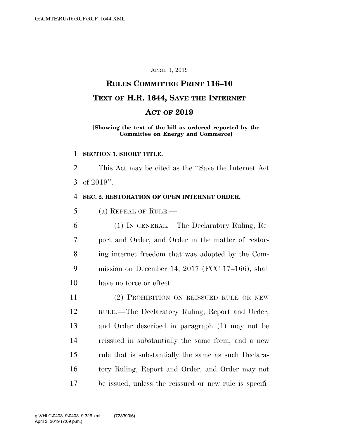## APRIL 3, 2019

# **RULES COMMITTEE PRINT 116–10 TEXT OF H.R. 1644, SAVE THE INTERNET ACT OF 2019**

### **[Showing the text of the bill as ordered reported by the Committee on Energy and Commerce]**

#### **SECTION 1. SHORT TITLE.**

 This Act may be cited as the ''Save the Internet Act of 2019''.

#### **SEC. 2. RESTORATION OF OPEN INTERNET ORDER.**

(a) REPEAL OF RULE.—

 (1) IN GENERAL.—The Declaratory Ruling, Re- port and Order, and Order in the matter of restor- ing internet freedom that was adopted by the Com- mission on December 14, 2017 (FCC 17–166), shall have no force or effect.

 (2) PROHIBITION ON REISSUED RULE OR NEW RULE.—The Declaratory Ruling, Report and Order, and Order described in paragraph (1) may not be reissued in substantially the same form, and a new rule that is substantially the same as such Declara- tory Ruling, Report and Order, and Order may not be issued, unless the reissued or new rule is specifi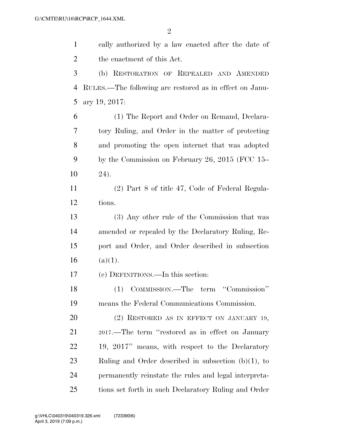cally authorized by a law enacted after the date of the enactment of this Act. (b) RESTORATION OF REPEALED AND AMENDED RULES.—The following are restored as in effect on Janu- ary 19, 2017: (1) The Report and Order on Remand, Declara- tory Ruling, and Order in the matter of protecting and promoting the open internet that was adopted by the Commission on February 26, 2015 (FCC 15– 24). (2) Part 8 of title 47, Code of Federal Regula- tions. (3) Any other rule of the Commission that was amended or repealed by the Declaratory Ruling, Re- port and Order, and Order described in subsection 16  $(a)(1)$ . (c) DEFINITIONS.—In this section: (1) COMMISSION.—The term ''Commission'' means the Federal Communications Commission. 20 (2) RESTORED AS IN EFFECT ON JANUARY 19, 2017.—The term ''restored as in effect on January 19, 2017'' means, with respect to the Declaratory Ruling and Order described in subsection (b)(1), to permanently reinstate the rules and legal interpreta-tions set forth in such Declaratory Ruling and Order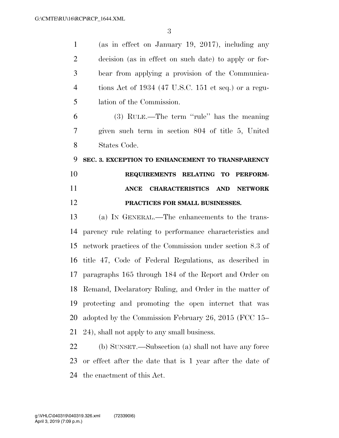(as in effect on January 19, 2017), including any decision (as in effect on such date) to apply or for- bear from applying a provision of the Communica- tions Act of 1934 (47 U.S.C. 151 et seq.) or a regu- lation of the Commission. (3) RULE.—The term ''rule'' has the meaning given such term in section 804 of title 5, United States Code. **SEC. 3. EXCEPTION TO ENHANCEMENT TO TRANSPARENCY REQUIREMENTS RELATING TO PERFORM- ANCE CHARACTERISTICS AND NETWORK PRACTICES FOR SMALL BUSINESSES.**  (a) IN GENERAL.—The enhancements to the trans- parency rule relating to performance characteristics and network practices of the Commission under section 8.3 of title 47, Code of Federal Regulations, as described in paragraphs 165 through 184 of the Report and Order on Remand, Declaratory Ruling, and Order in the matter of protecting and promoting the open internet that was adopted by the Commission February 26, 2015 (FCC 15– 24), shall not apply to any small business. (b) SUNSET.—Subsection (a) shall not have any force or effect after the date that is 1 year after the date of

the enactment of this Act.